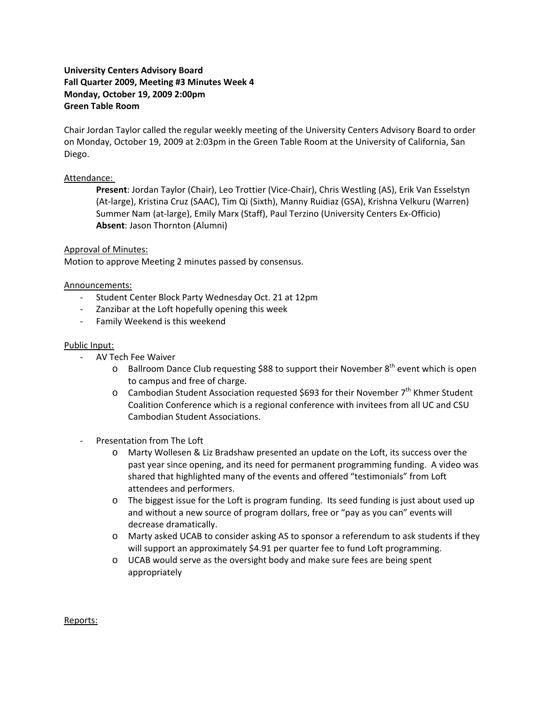# **University Centers Advisory Board Fall Quarter 2009, Meeting #3 Minutes Week 4 Monday, October 19, 2009 2:00pm Green Table Room**

Chair Jordan Taylor called the regular weekly meeting of the University Centers Advisory Board to order on Monday, October 19, 2009 at 2:03pm in the Green Table Room at the University of California, San Diego.

# Attendance:

**Present**: Jordan Taylor (Chair), Leo Trottier (Vice‐Chair), Chris Westling (AS), Erik Van Esselstyn (At‐large), Kristina Cruz (SAAC), Tim Qi (Sixth), Manny Ruidiaz (GSA), Krishna Velkuru (Warren) Summer Nam (at‐large), Emily Marx (Staff), Paul Terzino (University Centers Ex‐Officio) **Absent**: Jason Thornton (Alumni)

### Approval of Minutes:

Motion to approve Meeting 2 minutes passed by consensus.

### Announcements:

- ‐ Student Center Block Party Wednesday Oct. 21 at 12pm
- ‐ Zanzibar at the Loft hopefully opening this week
- ‐ Family Weekend is this weekend

#### Public Input:

- ‐ AV Tech Fee Waiver
	- o Ballroom Dance Club requesting \$88 to support their November  $8<sup>th</sup>$  event which is open to campus and free of charge.
	- $\circ$  Cambodian Student Association requested \$693 for their November 7<sup>th</sup> Khmer Student Coalition Conference which is a regional conference with invitees from all UC and CSU Cambodian Student Associations.
- ‐ Presentation from The Loft
	- o Marty Wollesen & Liz Bradshaw presented an update on the Loft, its success over the past year since opening, and its need for permanent programming funding. A video was shared that highlighted many of the events and offered "testimonials" from Loft attendees and performers.
	- $\circ$  The biggest issue for the Loft is program funding. Its seed funding is just about used up and without a new source of program dollars, free or "pay as you can" events will decrease dramatically.
	- o Marty asked UCAB to consider asking AS to sponsor a referendum to ask students if they will support an approximately \$4.91 per quarter fee to fund Loft programming.
	- o UCAB would serve as the oversight body and make sure fees are being spent appropriately

Reports: